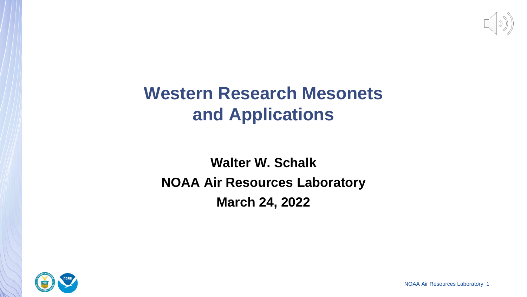

# **Western Research Mesonets and Applications**

# **Walter W. Schalk NOAA Air Resources Laboratory March 24, 2022**



NOAA Air Resources Laboratory 1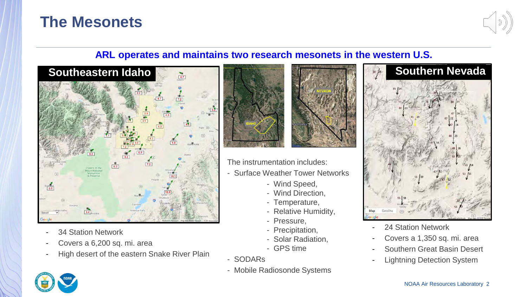#### **The Mesonets**



#### **ARL operates and maintains two research mesonets in the western U.S.**



- 34 Station Network
- Covers a 6,200 sq. mi. area
- High desert of the eastern Snake River Plain



- The instrumentation includes:
- Surface Weather Tower Networks
	- Wind Speed,
	- Wind Direction,
	- Temperature,
	- Relative Humidity,
	- Pressure,
	- Precipitation,
	- Solar Radiation,
	- GPS time
- SODARs
- Mobile Radiosonde Systems





- 24 Station Network
- Covers a 1,350 sq. mi. area
- Southern Great Basin Desert
- Lightning Detection System

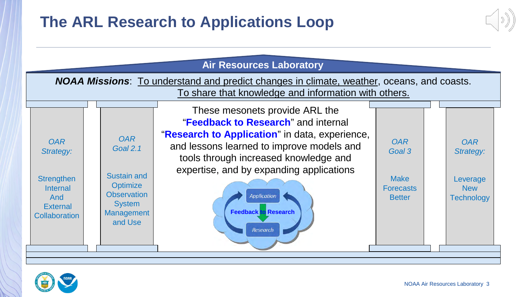# **The ARL Research to Applications Loop**



| <b>Air Resources Laboratory</b>                                                                                                                           |                                                                                                                                        |                                                                                                                                                                                                                                                                                                                            |                                                                          |                                                                        |  |  |  |  |
|-----------------------------------------------------------------------------------------------------------------------------------------------------------|----------------------------------------------------------------------------------------------------------------------------------------|----------------------------------------------------------------------------------------------------------------------------------------------------------------------------------------------------------------------------------------------------------------------------------------------------------------------------|--------------------------------------------------------------------------|------------------------------------------------------------------------|--|--|--|--|
| <b>NOAA Missions</b> : To understand and predict changes in climate, weather, oceans, and coasts.<br>To share that knowledge and information with others. |                                                                                                                                        |                                                                                                                                                                                                                                                                                                                            |                                                                          |                                                                        |  |  |  |  |
| <b>OAR</b><br>Strategy:<br><b>Strengthen</b><br><b>Internal</b><br>And<br><b>External</b><br><b>Collaboration</b>                                         | <b>OAR</b><br><b>Goal 2.1</b><br>Sustain and<br><b>Optimize</b><br><b>Observation</b><br><b>System</b><br><b>Management</b><br>and Use | These mesonets provide ARL the<br>"Feedback to Research" and internal<br>"Research to Application" in data, experience,<br>and lessons learned to improve models and<br>tools through increased knowledge and<br>expertise, and by expanding applications<br><b>Application</b><br><b>Feedback to Research</b><br>Research | <b>OAR</b><br>Goal 3<br><b>Make</b><br><b>Forecasts</b><br><b>Better</b> | <b>OAR</b><br>Strategy:<br>Leverage<br><b>New</b><br><b>Technology</b> |  |  |  |  |

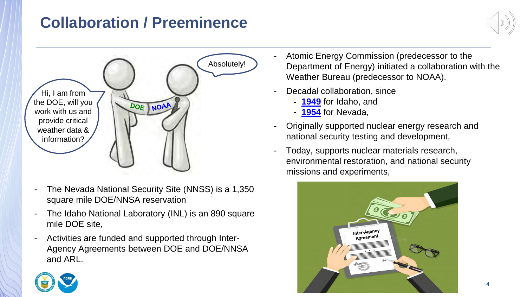# **Collaboration / Preeminence**



- The Nevada National Security Site (NNSS) is a 1,350 square mile DOE/NNSA reservation
- The Idaho National Laboratory (INL) is an 890 square mile DOE site,
- Activities are funded and supported through Inter-Agency Agreements between DOE and DOE/NNSA and ARL.
- Atomic Energy Commission (predecessor to the Department of Energy) initiated a collaboration with the Weather Bureau (predecessor to NOAA).
- Decadal collaboration, since
	- **- 1949** for Idaho, and
	- **- 1954** for Nevada,
- Originally supported nuclear energy research and national security testing and development,
- Today, supports nuclear materials research, environmental restoration, and national security missions and experiments,



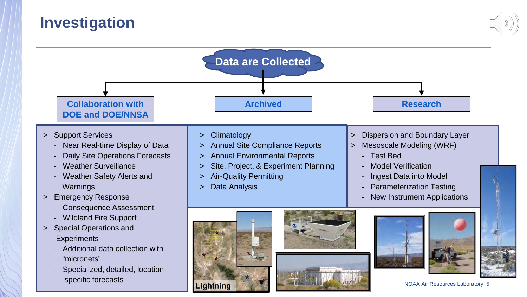# **Investigation**



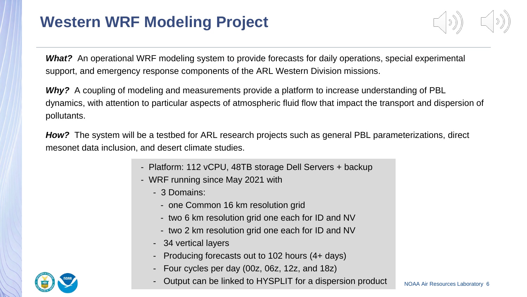**What?** An operational WRF modeling system to provide forecasts for daily operations, special experimental support, and emergency response components of the ARL Western Division missions.

*Why?* A coupling of modeling and measurements provide a platform to increase understanding of PBL dynamics, with attention to particular aspects of atmospheric fluid flow that impact the transport and dispersion of pollutants.

*How?* The system will be a testbed for ARL research projects such as general PBL parameterizations, direct mesonet data inclusion, and desert climate studies.

- Platform: 112 vCPU, 48TB storage Dell Servers + backup
- WRF running since May 2021 with
	- 3 Domains:
		- one Common 16 km resolution grid
		- two 6 km resolution grid one each for ID and NV
		- two 2 km resolution grid one each for ID and NV
	- 34 vertical layers
	- Producing forecasts out to 102 hours (4+ days)
	- Four cycles per day (00z, 06z, 12z, and 18z)
	- Output can be linked to HYSPLIT for a dispersion product

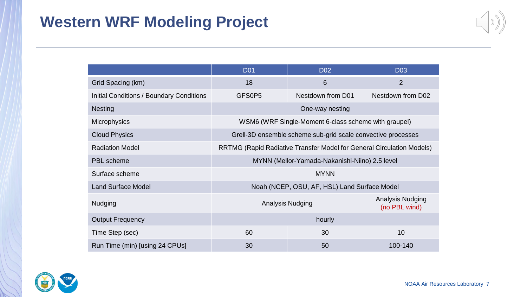|--|

|                                                                                                 | <b>D01</b>                                                   | <b>D02</b>        | <b>D03</b>                        |  |  |
|-------------------------------------------------------------------------------------------------|--------------------------------------------------------------|-------------------|-----------------------------------|--|--|
| Grid Spacing (km)                                                                               | 18                                                           | 6                 | $\overline{2}$                    |  |  |
| Initial Conditions / Boundary Conditions                                                        | GFS0P5                                                       | Nestdown from D01 | Nestdown from D02                 |  |  |
| <b>Nesting</b>                                                                                  | One-way nesting                                              |                   |                                   |  |  |
| <b>Microphysics</b>                                                                             | WSM6 (WRF Single-Moment 6-class scheme with graupel)         |                   |                                   |  |  |
| <b>Cloud Physics</b>                                                                            | Grell-3D ensemble scheme sub-grid scale convective processes |                   |                                   |  |  |
| <b>Radiation Model</b><br>RRTMG (Rapid Radiative Transfer Model for General Circulation Models) |                                                              |                   |                                   |  |  |
| <b>PBL</b> scheme                                                                               | MYNN (Mellor-Yamada-Nakanishi-Niino) 2.5 level               |                   |                                   |  |  |
| Surface scheme                                                                                  | <b>MYNN</b>                                                  |                   |                                   |  |  |
| <b>Land Surface Model</b>                                                                       | Noah (NCEP, OSU, AF, HSL) Land Surface Model                 |                   |                                   |  |  |
| <b>Nudging</b>                                                                                  | <b>Analysis Nudging</b>                                      |                   | Analysis Nudging<br>(no PBL wind) |  |  |
| <b>Output Frequency</b>                                                                         | hourly                                                       |                   |                                   |  |  |
| Time Step (sec)                                                                                 | 60                                                           | 30                | 10                                |  |  |
| Run Time (min) [using 24 CPUs]                                                                  | 30                                                           | 50                | 100-140                           |  |  |

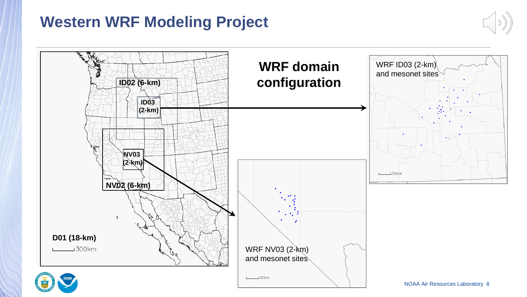

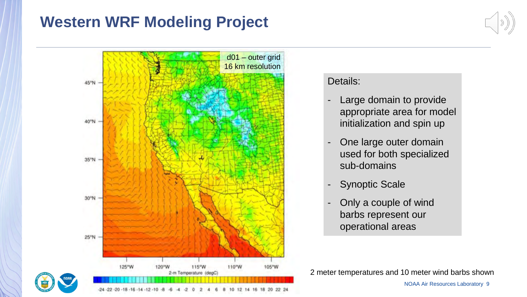



#### Details:

- Large domain to provide appropriate area for model initialization and spin up
- One large outer domain used for both specialized sub-domains
- Synoptic Scale
- Only a couple of wind barbs represent our operational areas

2 meter temperatures and 10 meter wind barbs shown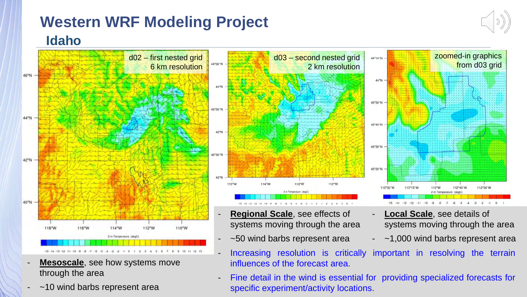

influences of the forecast area.

- **Mesoscale**, see how systems move through the area
- [~10](https://www.commerce.gov/) [wind](http://www.noaa.gov/) barbs represent area

NOAA Air Resources Laboratory 10 - Fine detail in the wind is essential for providing specialized forecasts for specific experiment/activity locations.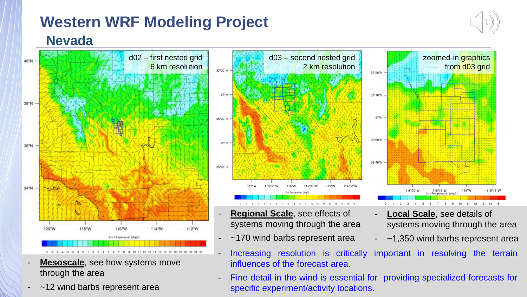

zoomed-in graphics

from d03 grid

116°W

 $12<sup>12</sup>$ 

115°45'W

13 14 15

**Nevada**



- **Mesoscale**, see how systems move through the area
- [~12](https://www.commerce.gov/) [wind](http://www.noaa.gov/) barbs represent area



- **Regional Scale, see effects of** systems moving through the area
- ~170 wind barbs represent area
- **Local Scale, see details of** systems moving through the area

116°15'W

116°30'W

 $5$ 

- ~1,350 wind barbs represent area
- Increasing resolution is critically important in resolving the terrain influences of the forecast area.

37°20'N

37°10'N

37°N

36°50'N

36°40'N

NOAA Air Resources Laboratory 11 Fine detail in the wind is essential for providing specialized forecasts for specific experiment/activity locations.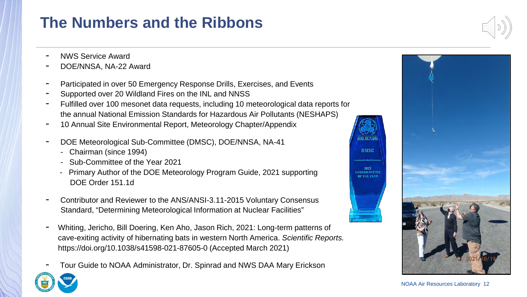# **The Numbers and the Ribbons**

- NWS Service Award
- DOE/NNSA, NA-22 Award
- Participated in over 50 Emergency Response Drills, Exercises, and Events
- Supported over 20 Wildland Fires on the INL and NNSS
- Fulfilled over 100 mesonet data requests, including 10 meteorological data reports for the annual National Emission Standards for Hazardous Air Pollutants (NESHAPS)
- 10 Annual Site Environmental Report, Meteorology Chapter/Appendix
- DOE Meteorological Sub-Committee (DMSC), DOE/NNSA, NA-41
	- Chairman (since 1994)
	- Sub-Committee of the Year 2021
	- Primary Author of the DOE Meteorology Program Guide, 2021 supporting DOE Order 151.1d
- Contributor and Reviewer to the ANS/ANSI-3.11-2015 Voluntary Consensus Standard, "Determining Meteorological Information at Nuclear Facilities"
- Whiting, Jericho, Bill Doering, Ken Aho, Jason Rich, 2021: Long-term patterns of cave-exiting activity of hibernating bats in western North America. *Scientific Reports.* https://doi.org/10.1038/s41598-021-87605-0 (Accepted March 2021)
- Tour Guide to NOAA Administrator, Dr. Spinrad and NWS DAA Mary Erickson





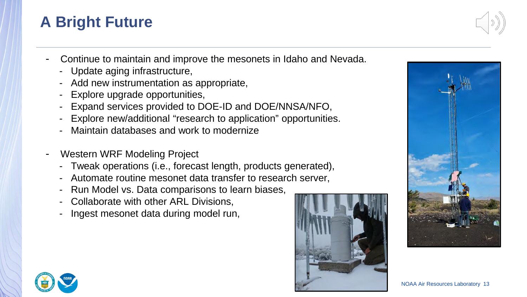# **A Bright Future**



- Continue to maintain and improve the mesonets in Idaho and Nevada.
	- Update aging infrastructure,
	- Add new instrumentation as appropriate,
	- Explore upgrade opportunities,
	- Expand services provided to DOE-ID and DOE/NNSA/NFO,
	- Explore new/additional "research to application" opportunities.
	- Maintain databases and work to modernize
- Western WRF Modeling Project
	- Tweak operations (i.e., forecast length, products generated),
	- Automate routine mesonet data transfer to research server,
	- Run Model vs. Data comparisons to learn biases,
	- Collaborate with other ARL Divisions,
	- Ingest mesonet data during model run,